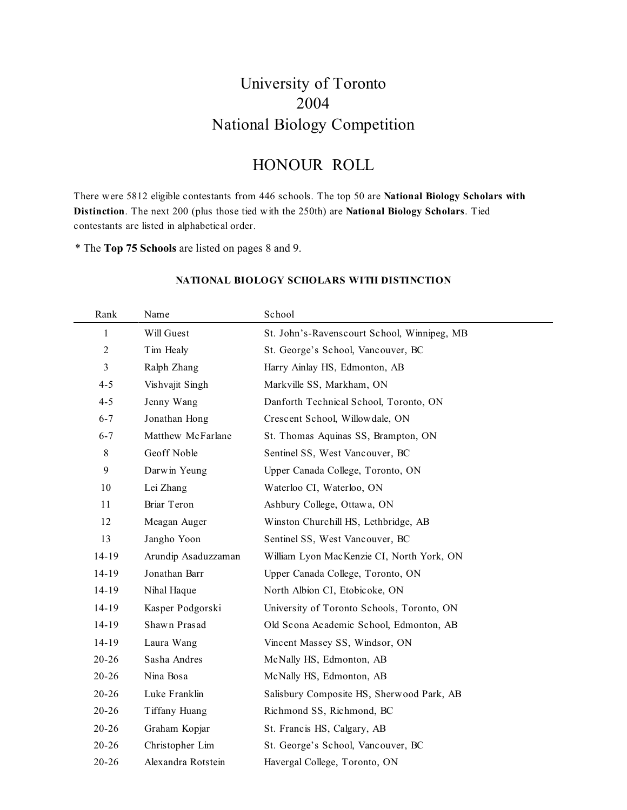### University of Toronto 2004 National Biology Competition

### HONOUR ROLL

There were 5812 eligible contestants from 446 schools. The top 50 are **National Biology Scholars with Distinction**. The next 200 (plus those tied with the 250th) are **National Biology Scholars**. Tied contestants are listed in alphabetical order.

\* The **Top 75 Schools** are listed on pages 8 and 9.

| Rank           | Name                | School                                      |
|----------------|---------------------|---------------------------------------------|
| $\mathbf{1}$   | Will Guest          | St. John's-Ravenscourt School, Winnipeg, MB |
| $\overline{2}$ | Tim Healy           | St. George's School, Vancouver, BC          |
| 3              | Ralph Zhang         | Harry Ainlay HS, Edmonton, AB               |
| $4 - 5$        | Vishvajit Singh     | Markville SS, Markham, ON                   |
| $4 - 5$        | Jenny Wang          | Danforth Technical School, Toronto, ON      |
| $6 - 7$        | Jonathan Hong       | Crescent School, Willowdale, ON             |
| $6 - 7$        | Matthew McFarlane   | St. Thomas Aquinas SS, Brampton, ON         |
| $\,$ 8 $\,$    | Geoff Noble         | Sentinel SS, West Vancouver, BC             |
| 9              | Darwin Yeung        | Upper Canada College, Toronto, ON           |
| 10             | Lei Zhang           | Waterloo CI, Waterloo, ON                   |
| 11             | Briar Teron         | Ashbury College, Ottawa, ON                 |
| 12             | Meagan Auger        | Winston Churchill HS, Lethbridge, AB        |
| 13             | Jangho Yoon         | Sentinel SS, West Vancouver, BC             |
| 14-19          | Arundip Asaduzzaman | William Lyon MacKenzie CI, North York, ON   |
| $14 - 19$      | Jonathan Barr       | Upper Canada College, Toronto, ON           |
| 14-19          | Nihal Haque         | North Albion CI, Etobicoke, ON              |
| 14-19          | Kasper Podgorski    | University of Toronto Schools, Toronto, ON  |
| 14-19          | Shawn Prasad        | Old Scona Academic School, Edmonton, AB     |
| 14-19          | Laura Wang          | Vincent Massey SS, Windsor, ON              |
| $20 - 26$      | Sasha Andres        | McNally HS, Edmonton, AB                    |
| $20 - 26$      | Nina Bosa           | McNally HS, Edmonton, AB                    |
| $20 - 26$      | Luke Franklin       | Salisbury Composite HS, Sherwood Park, AB   |
| $20 - 26$      | Tiffany Huang       | Richmond SS, Richmond, BC                   |
| $20 - 26$      | Graham Kopjar       | St. Francis HS, Calgary, AB                 |
| $20 - 26$      | Christopher Lim     | St. George's School, Vancouver, BC          |
| $20 - 26$      | Alexandra Rotstein  | Havergal College, Toronto, ON               |

#### **NATIONAL BIOLOGY SCHOLARS WITH DISTINCTION**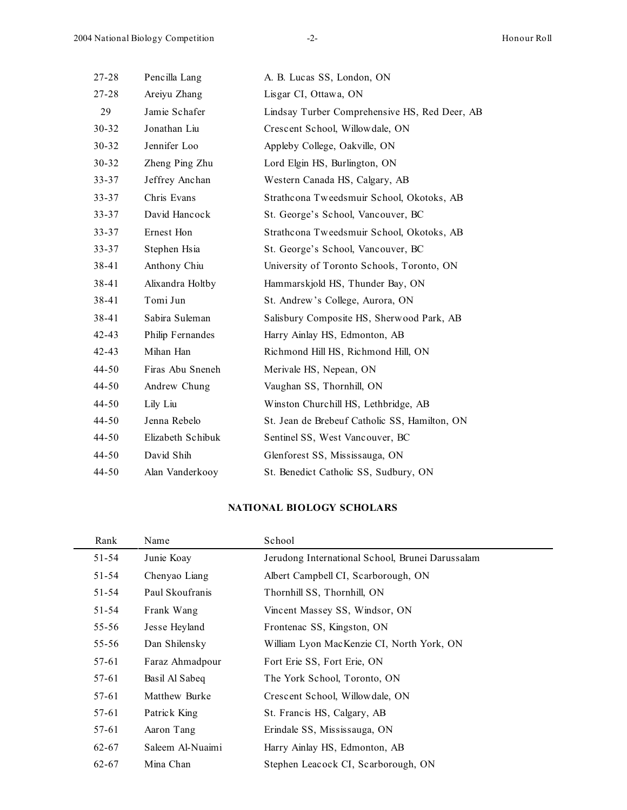| 27-28     | Pencilla Lang     | A. B. Lucas SS, London, ON                    |  |
|-----------|-------------------|-----------------------------------------------|--|
| 27-28     | Areiyu Zhang      | Lisgar CI, Ottawa, ON                         |  |
| 29        | Jamie Schafer     | Lindsay Turber Comprehensive HS, Red Deer, AB |  |
| $30 - 32$ | Jonathan Liu      | Crescent School, Willowdale, ON               |  |
| 30-32     | Jennifer Loo      | Appleby College, Oakville, ON                 |  |
| $30 - 32$ | Zheng Ping Zhu    | Lord Elgin HS, Burlington, ON                 |  |
| 33-37     | Jeffrey Anchan    | Western Canada HS, Calgary, AB                |  |
| $33 - 37$ | Chris Evans       | Strathcona Tweedsmuir School, Okotoks, AB     |  |
| $33 - 37$ | David Hancock     | St. George's School, Vancouver, BC            |  |
| $33 - 37$ | Ernest Hon        | Strathcona Tweedsmuir School, Okotoks, AB     |  |
| $33 - 37$ | Stephen Hsia      | St. George's School, Vancouver, BC            |  |
| 38-41     | Anthony Chiu      | University of Toronto Schools, Toronto, ON    |  |
| 38-41     | Alixandra Holtby  | Hammarskjold HS, Thunder Bay, ON              |  |
| 38-41     | Tomi Jun          | St. Andrew's College, Aurora, ON              |  |
| 38-41     | Sabira Suleman    | Salisbury Composite HS, Sherwood Park, AB     |  |
| $42 - 43$ | Philip Fernandes  | Harry Ainlay HS, Edmonton, AB                 |  |
| 42-43     | Mihan Han         | Richmond Hill HS, Richmond Hill, ON           |  |
| $44 - 50$ | Firas Abu Sneneh  | Merivale HS, Nepean, ON                       |  |
| 44-50     | Andrew Chung      | Vaughan SS, Thornhill, ON                     |  |
| $44 - 50$ | Lily Liu          | Winston Churchill HS, Lethbridge, AB          |  |
| $44 - 50$ | Jenna Rebelo      | St. Jean de Brebeuf Catholic SS, Hamilton, ON |  |
| 44-50     | Elizabeth Schibuk | Sentinel SS, West Vancouver, BC               |  |
| $44 - 50$ | David Shih        | Glenforest SS, Mississauga, ON                |  |
| 44-50     | Alan Vanderkooy   | St. Benedict Catholic SS, Sudbury, ON         |  |

### **NATIONAL BIOLOGY SCHOLARS**

| Rank      | Name             | School                                           |
|-----------|------------------|--------------------------------------------------|
| $51 - 54$ | Junie Koay       | Jerudong International School, Brunei Darussalam |
| 51-54     | Chenyao Liang    | Albert Campbell CI, Scarborough, ON              |
| 51-54     | Paul Skoufranis  | Thornhill SS, Thornhill, ON                      |
| 51-54     | Frank Wang       | Vincent Massey SS, Windsor, ON                   |
| 55-56     | Jesse Heyland    | Frontenac SS, Kingston, ON                       |
| 55-56     | Dan Shilensky    | William Lyon MacKenzie CI, North York, ON        |
| 57-61     | Faraz Ahmadpour  | Fort Erie SS, Fort Erie, ON                      |
| 57-61     | Basil Al Sabeq   | The York School, Toronto, ON                     |
| 57-61     | Matthew Burke    | Crescent School, Willow dale, ON                 |
| 57-61     | Patrick King     | St. Francis HS, Calgary, AB                      |
| 57-61     | Aaron Tang       | Erindale SS, Mississauga, ON                     |
| $62 - 67$ | Saleem Al-Nuaimi | Harry Ainlay HS, Edmonton, AB                    |
| $62 - 67$ | Mina Chan        | Stephen Leacock CI, Scarborough, ON              |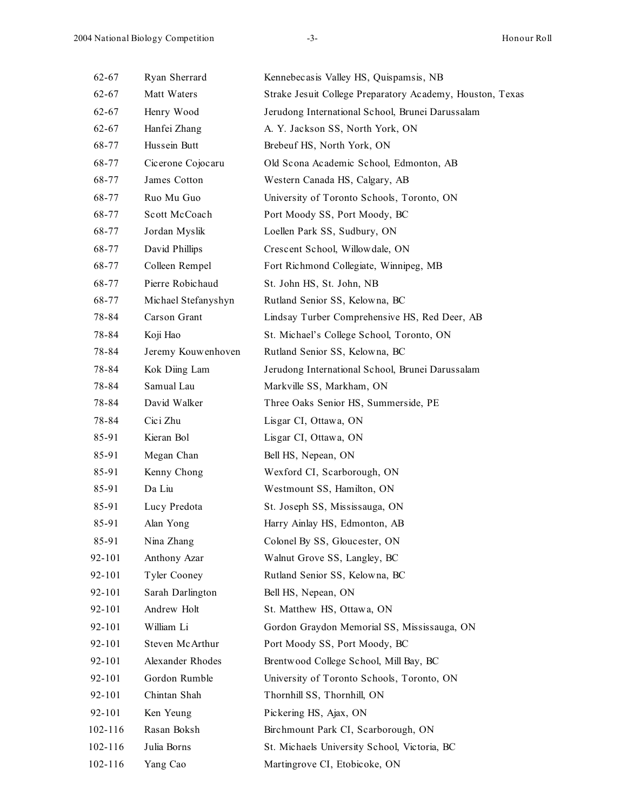| $62 - 67$ | Ryan Sherrard       | Kennebecasis Valley HS, Quispamsis, NB                    |
|-----------|---------------------|-----------------------------------------------------------|
| $62 - 67$ | Matt Waters         | Strake Jesuit College Preparatory Academy, Houston, Texas |
| $62 - 67$ | Henry Wood          | Jerudong International School, Brunei Darussalam          |
| 62-67     | Hanfei Zhang        | A. Y. Jackson SS, North York, ON                          |
| 68-77     | Hussein Butt        | Brebeuf HS, North York, ON                                |
| 68-77     | Cicerone Cojocaru   | Old Scona Academic School, Edmonton, AB                   |
| 68-77     | James Cotton        | Western Canada HS, Calgary, AB                            |
| 68-77     | Ruo Mu Guo          | University of Toronto Schools, Toronto, ON                |
| 68-77     | Scott McCoach       | Port Moody SS, Port Moody, BC                             |
| 68-77     | Jordan Myslik       | Loellen Park SS, Sudbury, ON                              |
| 68-77     | David Phillips      | Crescent School, Willowdale, ON                           |
| 68-77     | Colleen Rempel      | Fort Richmond Collegiate, Winnipeg, MB                    |
| 68-77     | Pierre Robichaud    | St. John HS, St. John, NB                                 |
| 68-77     | Michael Stefanyshyn | Rutland Senior SS, Kelowna, BC                            |
| 78-84     | Carson Grant        | Lindsay Turber Comprehensive HS, Red Deer, AB             |
| 78-84     | Koji Hao            | St. Michael's College School, Toronto, ON                 |
| 78-84     | Jeremy Kouwenhoven  | Rutland Senior SS, Kelowna, BC                            |
| 78-84     | Kok Diing Lam       | Jerudong International School, Brunei Darussalam          |
| 78-84     | Samual Lau          | Markville SS, Markham, ON                                 |
| 78-84     | David Walker        | Three Oaks Senior HS, Summerside, PE                      |
| 78-84     | Cici Zhu            | Lisgar CI, Ottawa, ON                                     |
| 85-91     | Kieran Bol          | Lisgar CI, Ottawa, ON                                     |
| 85-91     | Megan Chan          | Bell HS, Nepean, ON                                       |
| 85-91     | Kenny Chong         | Wexford CI, Scarborough, ON                               |
| 85-91     | Da Liu              | Westmount SS, Hamilton, ON                                |
| 85-91     | Lucy Predota        | St. Joseph SS, Mississauga, ON                            |
| 85-91     | Alan Yong           | Harry Ainlay HS, Edmonton, AB                             |
| 85-91     | Nina Zhang          | Colonel By SS, Gloucester, ON                             |
| 92-101    | Anthony Azar        | Walnut Grove SS, Langley, BC                              |
| 92-101    | Tyler Cooney        | Rutland Senior SS, Kelowna, BC                            |
| 92-101    | Sarah Darlington    | Bell HS, Nepean, ON                                       |
| 92-101    | Andrew Holt         | St. Matthew HS, Ottawa, ON                                |
| 92-101    | William Li          | Gordon Graydon Memorial SS, Mississauga, ON               |
| 92-101    | Steven McArthur     | Port Moody SS, Port Moody, BC                             |
| 92-101    | Alexander Rhodes    | Brentwood College School, Mill Bay, BC                    |
| 92-101    | Gordon Rumble       | University of Toronto Schools, Toronto, ON                |
| 92-101    | Chintan Shah        | Thornhill SS, Thornhill, ON                               |
| 92-101    | Ken Yeung           | Pickering HS, Ajax, ON                                    |
| 102-116   | Rasan Boksh         | Birchmount Park CI, Scarborough, ON                       |
| 102-116   | Julia Borns         | St. Michaels University School, Victoria, BC              |
| 102-116   | Yang Cao            | Martingrove CI, Etobicoke, ON                             |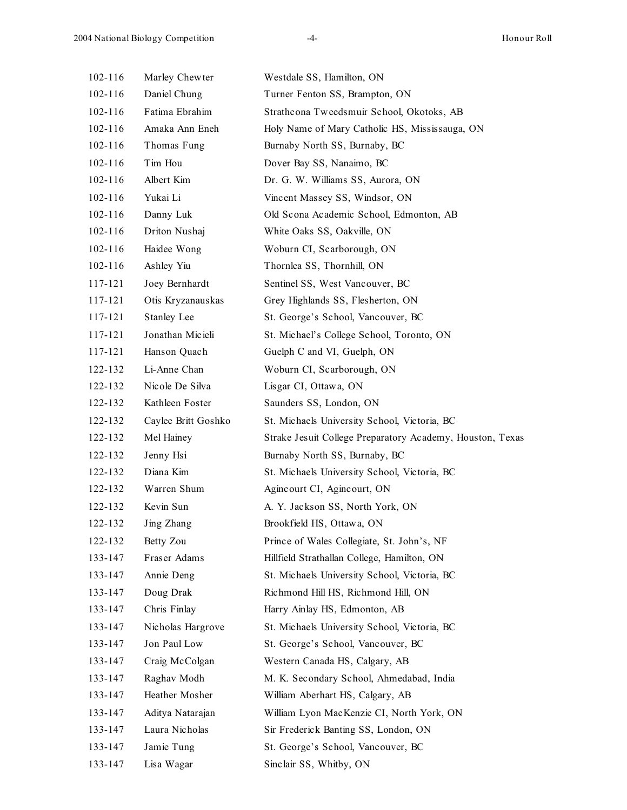| $102 - 116$ | Marley Chewter      | Westdale SS, Hamilton, ON                                 |
|-------------|---------------------|-----------------------------------------------------------|
| 102-116     | Daniel Chung        | Turner Fenton SS, Brampton, ON                            |
| $102 - 116$ | Fatima Ebrahim      | Strathcona Tweedsmuir School, Okotoks, AB                 |
| $102 - 116$ | Amaka Ann Eneh      | Holy Name of Mary Catholic HS, Mississauga, ON            |
| $102 - 116$ | Thomas Fung         | Burnaby North SS, Burnaby, BC                             |
| $102 - 116$ | Tim Hou             | Dover Bay SS, Nanaimo, BC                                 |
| $102 - 116$ | Albert Kim          | Dr. G. W. Williams SS, Aurora, ON                         |
| $102 - 116$ | Yukai Li            | Vincent Massey SS, Windsor, ON                            |
| 102-116     | Danny Luk           | Old Scona Academic School, Edmonton, AB                   |
| $102 - 116$ | Driton Nushaj       | White Oaks SS, Oakville, ON                               |
| $102 - 116$ | Haidee Wong         | Woburn CI, Scarborough, ON                                |
| $102 - 116$ | Ashley Yiu          | Thornlea SS, Thornhill, ON                                |
| 117-121     | Joey Bernhardt      | Sentinel SS, West Vancouver, BC                           |
| 117-121     | Otis Kryzanauskas   | Grey Highlands SS, Flesherton, ON                         |
| 117-121     | Stanley Lee         | St. George's School, Vancouver, BC                        |
| 117-121     | Jonathan Micieli    | St. Michael's College School, Toronto, ON                 |
| 117-121     | Hanson Quach        | Guelph C and VI, Guelph, ON                               |
| 122-132     | Li-Anne Chan        | Woburn CI, Scarborough, ON                                |
| 122-132     | Nicole De Silva     | Lisgar CI, Ottawa, ON                                     |
| 122-132     | Kathleen Foster     | Saunders SS, London, ON                                   |
| 122-132     | Caylee Britt Goshko | St. Michaels University School, Victoria, BC              |
| 122-132     | Mel Hainey          | Strake Jesuit College Preparatory Academy, Houston, Texas |
| 122-132     | Jenny Hsi           | Burnaby North SS, Burnaby, BC                             |
| 122-132     | Diana Kim           | St. Michaels University School, Victoria, BC              |
| 122-132     | Warren Shum         | Agincourt CI, Agincourt, ON                               |
| 122-132     | Kevin Sun           | A. Y. Jackson SS, North York, ON                          |
| 122-132     | Jing Zhang          | Brookfield HS, Ottawa, ON                                 |
| 122-132     | Betty Zou           | Prince of Wales Collegiate, St. John's, NF                |
| 133-147     | Fraser Adams        | Hillfield Strathallan College, Hamilton, ON               |
| 133-147     | Annie Deng          | St. Michaels University School, Victoria, BC              |
| 133-147     | Doug Drak           | Richmond Hill HS, Richmond Hill, ON                       |
| 133-147     | Chris Finlay        | Harry Ainlay HS, Edmonton, AB                             |
| 133-147     | Nicholas Hargrove   | St. Michaels University School, Victoria, BC              |
| 133-147     | Jon Paul Low        | St. George's School, Vancouver, BC                        |
| 133-147     | Craig McColgan      | Western Canada HS, Calgary, AB                            |
| 133-147     | Raghav Modh         | M. K. Secondary School, Ahmedabad, India                  |
| 133-147     | Heather Mosher      | William Aberhart HS, Calgary, AB                          |
| 133-147     | Aditya Natarajan    | William Lyon MacKenzie CI, North York, ON                 |
| 133-147     | Laura Nicholas      | Sir Frederick Banting SS, London, ON                      |
| 133-147     | Jamie Tung          | St. George's School, Vancouver, BC                        |
| 133-147     | Lisa Wagar          | Sinclair SS, Whitby, ON                                   |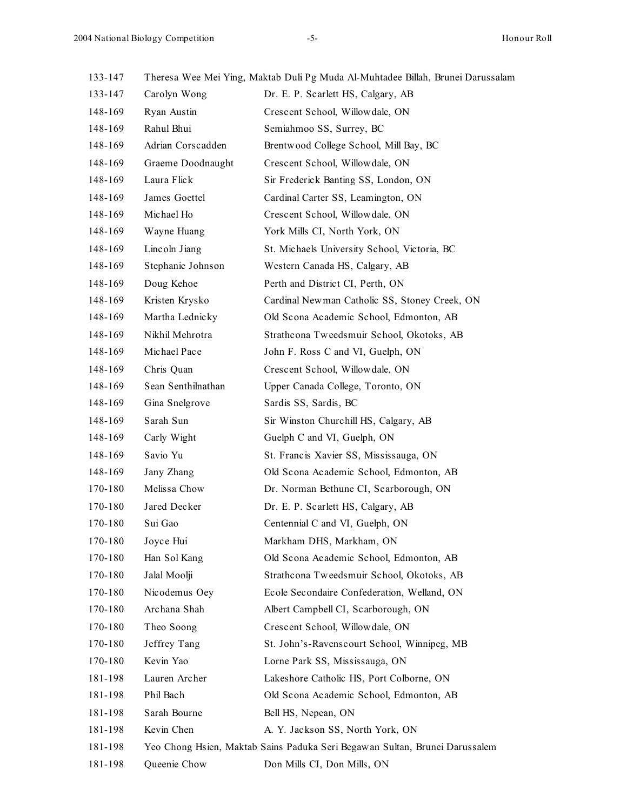133-147 Theresa Wee Mei Ying, Maktab Duli Pg Muda Al-Muhtadee Billah, Brunei Darussalam

| 133-147 | Carolyn Wong       | Dr. E. P. Scarlett HS, Calgary, AB                                          |
|---------|--------------------|-----------------------------------------------------------------------------|
| 148-169 | Ryan Austin        | Crescent School, Willowdale, ON                                             |
| 148-169 | Rahul Bhui         | Semiahmoo SS, Surrey, BC                                                    |
| 148-169 | Adrian Corscadden  | Brentwood College School, Mill Bay, BC                                      |
| 148-169 | Graeme Doodnaught  | Crescent School, Willowdale, ON                                             |
| 148-169 | Laura Flick        | Sir Frederick Banting SS, London, ON                                        |
| 148-169 | James Goettel      | Cardinal Carter SS, Leamington, ON                                          |
| 148-169 | Michael Ho         | Crescent School, Willowdale, ON                                             |
| 148-169 | Wayne Huang        | York Mills CI, North York, ON                                               |
| 148-169 | Lincoln Jiang      | St. Michaels University School, Victoria, BC                                |
| 148-169 | Stephanie Johnson  | Western Canada HS, Calgary, AB                                              |
| 148-169 | Doug Kehoe         | Perth and District CI, Perth, ON                                            |
| 148-169 | Kristen Krysko     | Cardinal Newman Catholic SS, Stoney Creek, ON                               |
| 148-169 | Martha Lednicky    | Old Scona Academic School, Edmonton, AB                                     |
| 148-169 | Nikhil Mehrotra    | Strathcona Tweedsmuir School, Okotoks, AB                                   |
| 148-169 | Michael Pace       | John F. Ross C and VI, Guelph, ON                                           |
| 148-169 | Chris Quan         | Crescent School, Willowdale, ON                                             |
| 148-169 | Sean Senthilnathan | Upper Canada College, Toronto, ON                                           |
| 148-169 | Gina Snelgrove     | Sardis SS, Sardis, BC                                                       |
| 148-169 | Sarah Sun          | Sir Winston Churchill HS, Calgary, AB                                       |
| 148-169 | Carly Wight        | Guelph C and VI, Guelph, ON                                                 |
| 148-169 | Savio Yu           | St. Francis Xavier SS, Mississauga, ON                                      |
| 148-169 | Jany Zhang         | Old Scona Academic School, Edmonton, AB                                     |
| 170-180 | Melissa Chow       | Dr. Norman Bethune CI, Scarborough, ON                                      |
| 170-180 | Jared Decker       | Dr. E. P. Scarlett HS, Calgary, AB                                          |
| 170-180 | Sui Gao            | Centennial C and VI, Guelph, ON                                             |
| 170-180 | Joyce Hui          | Markham DHS, Markham, ON                                                    |
| 170-180 | Han Sol Kang       | Old Scona Academic School, Edmonton, AB                                     |
| 170-180 | Jalal Moolji       | Strathcona Tweedsmuir School, Okotoks, AB                                   |
| 170-180 | Nicodemus Oey      | Ecole Secondaire Confederation, Welland, ON                                 |
| 170-180 | Archana Shah       | Albert Campbell CI, Scarborough, ON                                         |
| 170-180 | Theo Soong         | Crescent School, Willowdale, ON                                             |
| 170-180 | Jeffrey Tang       | St. John's-Ravenscourt School, Winnipeg, MB                                 |
| 170-180 | Kevin Yao          | Lorne Park SS, Mississauga, ON                                              |
| 181-198 | Lauren Archer      | Lakeshore Catholic HS, Port Colborne, ON                                    |
| 181-198 | Phil Bach          | Old Scona Academic School, Edmonton, AB                                     |
| 181-198 | Sarah Bourne       | Bell HS, Nepean, ON                                                         |
| 181-198 | Kevin Chen         | A. Y. Jackson SS, North York, ON                                            |
| 181-198 |                    | Yeo Chong Hsien, Maktab Sains Paduka Seri Begawan Sultan, Brunei Darussalem |
| 181-198 | Queenie Chow       | Don Mills CI, Don Mills, ON                                                 |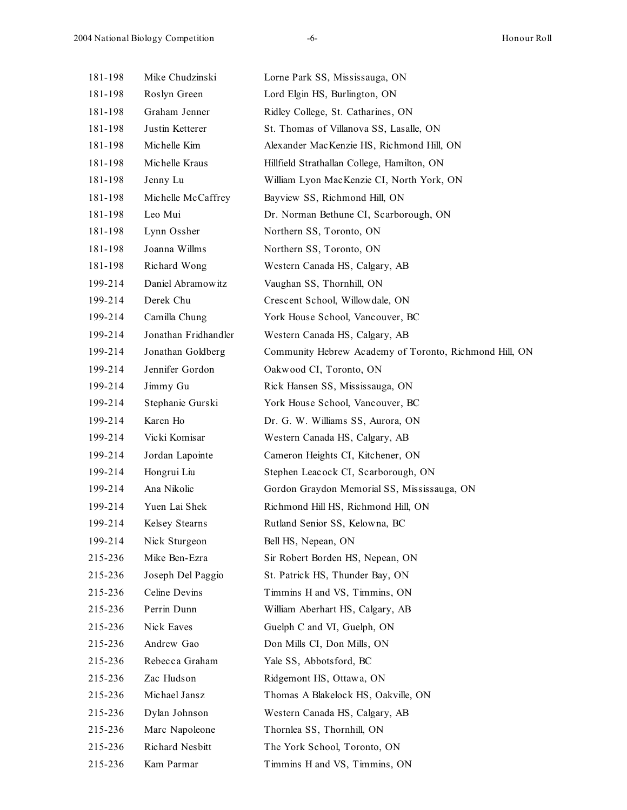| 181-198 | Mike Chudzinski      | Lorne Park SS, Mississauga, ON                         |
|---------|----------------------|--------------------------------------------------------|
| 181-198 | Roslyn Green         | Lord Elgin HS, Burlington, ON                          |
| 181-198 | Graham Jenner        | Ridley College, St. Catharines, ON                     |
| 181-198 | Justin Ketterer      | St. Thomas of Villanova SS, Lasalle, ON                |
| 181-198 | Michelle Kim         | Alexander MacKenzie HS, Richmond Hill, ON              |
| 181-198 | Michelle Kraus       | Hillfield Strathallan College, Hamilton, ON            |
| 181-198 | Jenny Lu             | William Lyon MacKenzie CI, North York, ON              |
| 181-198 | Michelle McCaffrey   | Bayview SS, Richmond Hill, ON                          |
| 181-198 | Leo Mui              | Dr. Norman Bethune CI, Scarborough, ON                 |
| 181-198 | Lynn Ossher          | Northern SS, Toronto, ON                               |
| 181-198 | Joanna Willms        | Northern SS, Toronto, ON                               |
| 181-198 | Richard Wong         | Western Canada HS, Calgary, AB                         |
| 199-214 | Daniel Abramowitz    | Vaughan SS, Thornhill, ON                              |
| 199-214 | Derek Chu            | Crescent School, Willowdale, ON                        |
| 199-214 | Camilla Chung        | York House School, Vancouver, BC                       |
| 199-214 | Jonathan Fridhandler | Western Canada HS, Calgary, AB                         |
| 199-214 | Jonathan Goldberg    | Community Hebrew Academy of Toronto, Richmond Hill, ON |
| 199-214 | Jennifer Gordon      | Oakwood CI, Toronto, ON                                |
| 199-214 | Jimmy Gu             | Rick Hansen SS, Mississauga, ON                        |
| 199-214 | Stephanie Gurski     | York House School, Vancouver, BC                       |
| 199-214 | Karen Ho             | Dr. G. W. Williams SS, Aurora, ON                      |
| 199-214 | Vicki Komisar        | Western Canada HS, Calgary, AB                         |
| 199-214 | Jordan Lapointe      | Cameron Heights CI, Kitchener, ON                      |
| 199-214 | Hongrui Liu          | Stephen Leacock CI, Scarborough, ON                    |
| 199-214 | Ana Nikolic          | Gordon Graydon Memorial SS, Mississauga, ON            |
| 199-214 | Yuen Lai Shek        | Richmond Hill HS, Richmond Hill, ON                    |
| 199-214 | Kelsey Stearns       | Rutland Senior SS, Kelowna, BC                         |
| 199-214 | Nick Sturgeon        | Bell HS, Nepean, ON                                    |
| 215-236 | Mike Ben-Ezra        | Sir Robert Borden HS, Nepean, ON                       |
| 215-236 | Joseph Del Paggio    | St. Patrick HS, Thunder Bay, ON                        |
| 215-236 | Celine Devins        | Timmins H and VS, Timmins, ON                          |
| 215-236 | Perrin Dunn          | William Aberhart HS, Calgary, AB                       |
| 215-236 | Nick Eaves           | Guelph C and VI, Guelph, ON                            |
| 215-236 | Andrew Gao           | Don Mills CI, Don Mills, ON                            |
| 215-236 | Rebecca Graham       | Yale SS, Abbotsford, BC                                |
| 215-236 | Zac Hudson           | Ridgemont HS, Ottawa, ON                               |
| 215-236 | Michael Jansz        | Thomas A Blakelock HS, Oakville, ON                    |
| 215-236 | Dylan Johnson        | Western Canada HS, Calgary, AB                         |
| 215-236 | Marc Napoleone       | Thornlea SS, Thornhill, ON                             |
| 215-236 | Richard Nesbitt      | The York School, Toronto, ON                           |
| 215-236 | Kam Parmar           | Timmins H and VS, Timmins, ON                          |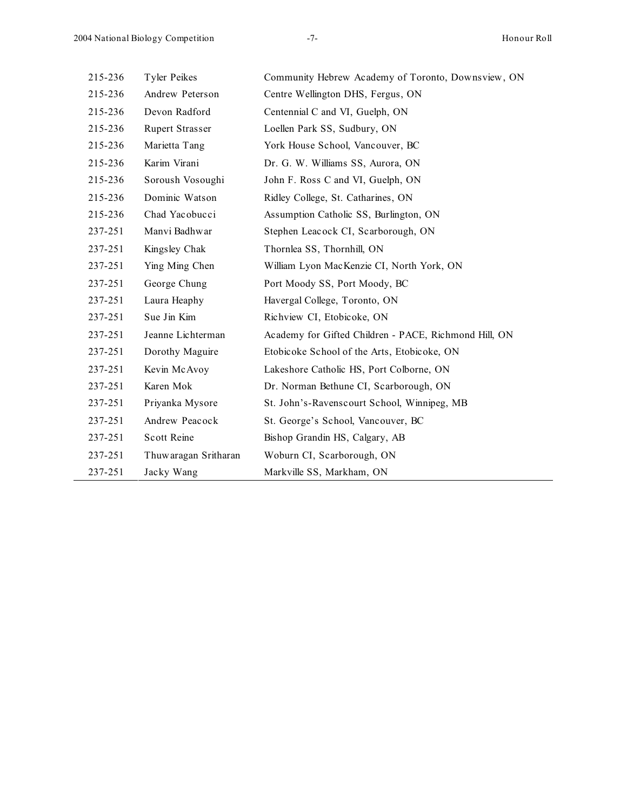| 215-236 | <b>Tyler Peikes</b>  | Community Hebrew Academy of Toronto, Downsview, ON    |
|---------|----------------------|-------------------------------------------------------|
| 215-236 | Andrew Peterson      | Centre Wellington DHS, Fergus, ON                     |
| 215-236 | Devon Radford        | Centennial C and VI, Guelph, ON                       |
| 215-236 | Rupert Strasser      | Loellen Park SS, Sudbury, ON                          |
| 215-236 | Marietta Tang        | York House School, Vancouver, BC                      |
| 215-236 | Karim Virani         | Dr. G. W. Williams SS, Aurora, ON                     |
| 215-236 | Soroush Vosoughi     | John F. Ross C and VI, Guelph, ON                     |
| 215-236 | Dominic Watson       | Ridley College, St. Catharines, ON                    |
| 215-236 | Chad Yacobucci       | Assumption Catholic SS, Burlington, ON                |
| 237-251 | Manyi Badhwar        | Stephen Leacock CI, Scarborough, ON                   |
| 237-251 | Kingsley Chak        | Thornlea SS, Thornhill, ON                            |
| 237-251 | Ying Ming Chen       | William Lyon MacKenzie CI, North York, ON             |
| 237-251 | George Chung         | Port Moody SS, Port Moody, BC                         |
| 237-251 | Laura Heaphy         | Havergal College, Toronto, ON                         |
| 237-251 | Sue Jin Kim          | Richview CI, Etobicoke, ON                            |
| 237-251 | Jeanne Lichterman    | Academy for Gifted Children - PACE, Richmond Hill, ON |
| 237-251 | Dorothy Maguire      | Etobicoke School of the Arts, Etobicoke, ON           |
| 237-251 | Kevin McAvoy         | Lakeshore Catholic HS, Port Colborne, ON              |
| 237-251 | Karen Mok            | Dr. Norman Bethune CI, Scarborough, ON                |
| 237-251 | Priyanka Mysore      | St. John's-Ravenscourt School, Winnipeg, MB           |
| 237-251 | Andrew Peacock       | St. George's School, Vancouver, BC                    |
| 237-251 | Scott Reine          | Bishop Grandin HS, Calgary, AB                        |
| 237-251 | Thuwaragan Sritharan | Woburn CI, Scarborough, ON                            |
| 237-251 | Jacky Wang           | Markville SS, Markham, ON                             |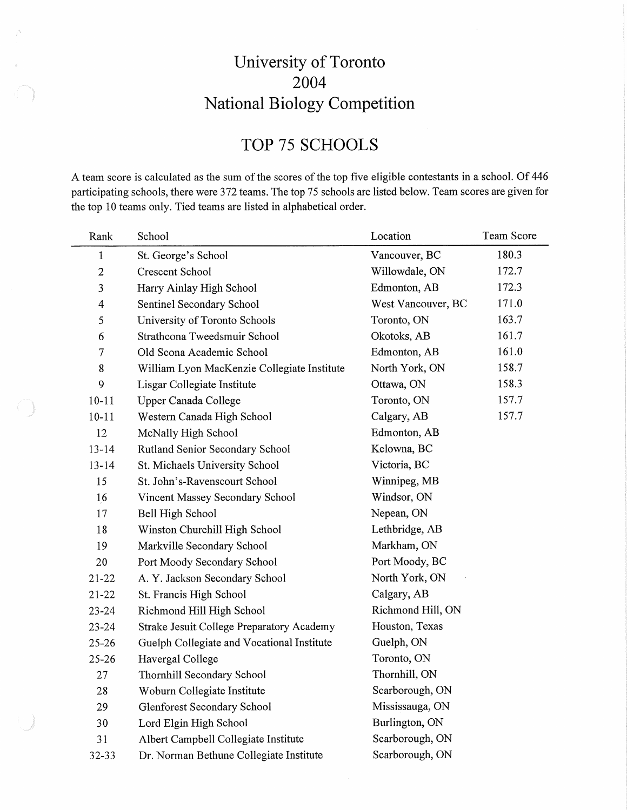# University of Toronto 2004 National Biology Competition

# TOP 75 SCHOOLS

A team score is calculated as the sum of the scores of the top five eligible contestants in a school. Of 446 participating schools, there were 372 teams. The top 75 schools are listed below. Team scores are given for the top 10 teams only. Tied teams are listed in alphabetical order.

| Rank           | School                                      | Location           | Team Score |
|----------------|---------------------------------------------|--------------------|------------|
| $\mathbf{1}$   | St. George's School                         | Vancouver, BC      | 180.3      |
| $\overline{2}$ | <b>Crescent School</b>                      | Willowdale, ON     | 172.7      |
| 3              | Harry Ainlay High School                    | Edmonton, AB       | 172.3      |
| 4              | Sentinel Secondary School                   | West Vancouver, BC | 171.0      |
| 5              | University of Toronto Schools               | Toronto, ON        | 163.7      |
| 6              | Strathcona Tweedsmuir School                | Okotoks, AB        | 161.7      |
| 7              | Old Scona Academic School                   | Edmonton, AB       | 161.0      |
| 8              | William Lyon MacKenzie Collegiate Institute | North York, ON     | 158.7      |
| 9              | Lisgar Collegiate Institute                 | Ottawa, ON         | 158.3      |
| $10 - 11$      | Upper Canada College                        | Toronto, ON        | 157.7      |
| $10 - 11$      | Western Canada High School                  | Calgary, AB        | 157.7      |
| 12             | McNally High School                         | Edmonton, AB       |            |
| $13 - 14$      | Rutland Senior Secondary School             | Kelowna, BC        |            |
| $13 - 14$      | St. Michaels University School              | Victoria, BC       |            |
| 15             | St. John's-Ravenscourt School               | Winnipeg, MB       |            |
| 16             | Vincent Massey Secondary School             | Windsor, ON        |            |
| 17             | Bell High School                            | Nepean, ON         |            |
| 18             | Winston Churchill High School               | Lethbridge, AB     |            |
| 19             | Markville Secondary School                  | Markham, ON        |            |
| 20             | Port Moody Secondary School                 | Port Moody, BC     |            |
| $21 - 22$      | A. Y. Jackson Secondary School              | North York, ON     |            |
| $21 - 22$      | St. Francis High School                     | Calgary, AB        |            |
| $23 - 24$      | Richmond Hill High School                   | Richmond Hill, ON  |            |
| $23 - 24$      | Strake Jesuit College Preparatory Academy   | Houston, Texas     |            |
| $25 - 26$      | Guelph Collegiate and Vocational Institute  | Guelph, ON         |            |
| $25 - 26$      | Havergal College                            | Toronto, ON        |            |
| 27             | Thornhill Secondary School                  | Thornhill, ON      |            |
| 28             | Woburn Collegiate Institute                 | Scarborough, ON    |            |
| 29             | <b>Glenforest Secondary School</b>          | Mississauga, ON    |            |
| 30             | Lord Elgin High School                      | Burlington, ON     |            |
| 31             | Albert Campbell Collegiate Institute        | Scarborough, ON    |            |
| 32-33          | Dr. Norman Bethune Collegiate Institute     | Scarborough, ON    |            |